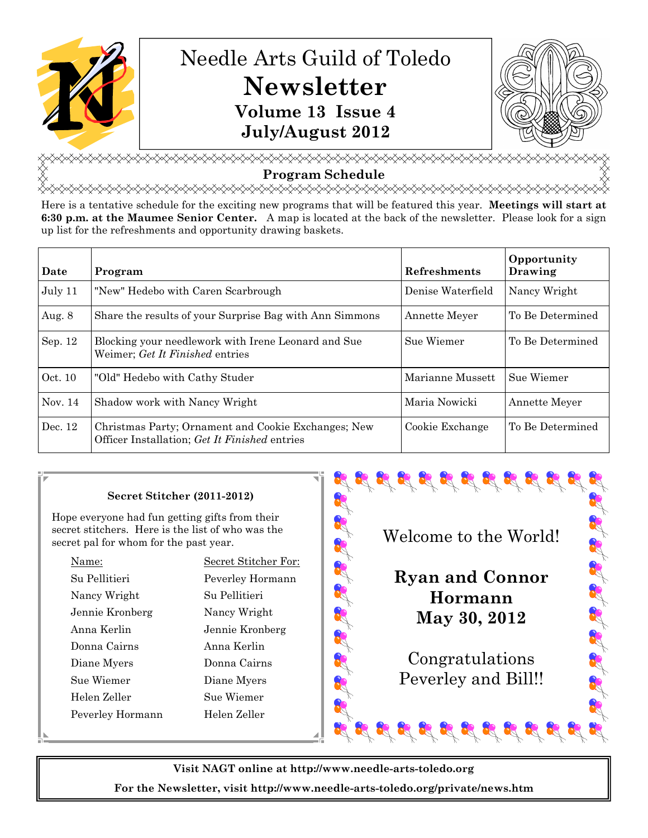

# Needle Arts Guild of Toledo **Newsletter Volume 13 Issue 4 July/August 2012**



<u></u> **Program Schedule** 

<del></del>

Here is a tentative schedule for the exciting new programs that will be featured this year. **Meetings will start at 6:30 p.m. at the Maumee Senior Center.** A map is located at the back of the newsletter. Please look for a sign up list for the refreshments and opportunity drawing baskets.

| Date     | Program                                                                                              | Refreshments      | Opportunity<br>Drawing |
|----------|------------------------------------------------------------------------------------------------------|-------------------|------------------------|
| July 11  | "New" Hedebo with Caren Scarbrough                                                                   | Denise Waterfield | Nancy Wright           |
| Aug. $8$ | Share the results of your Surprise Bag with Ann Simmons                                              | Annette Meyer     | To Be Determined       |
| Sep. 12  | Blocking your needlework with Irene Leonard and Sue<br>Weimer; Get It Finished entries               | Sue Wiemer        | To Be Determined       |
| Oct. 10  | "Old" Hedebo with Cathy Studer                                                                       | Marianne Mussett  | Sue Wiemer             |
| Nov. 14  | Shadow work with Nancy Wright                                                                        | Maria Nowicki     | Annette Meyer          |
| Dec. 12  | Christmas Party; Ornament and Cookie Exchanges; New<br>Officer Installation; Get It Finished entries | Cookie Exchange   | To Be Determined       |

## **Secret Stitcher (2011-2012)**

Hope everyone had fun getting gifts from their secret stitchers. Here is the list of who was the secret pal for whom for the past year.

| Name:            | Secret Stitcher For: |
|------------------|----------------------|
| Su Pellitieri    | Peverley Hormann     |
| Nancy Wright     | Su Pellitieri        |
| Jennie Kronberg  | Nancy Wright         |
| Anna Kerlin      | Jennie Kronberg      |
| Donna Cairns     | Anna Kerlin          |
| Diane Myers      | Donna Cairns         |
| Sue Wiemer       | Diane Myers          |
| Helen Zeller     | Sue Wiemer           |
| Peverley Hormann | Helen Zeller         |
|                  |                      |

Welcome to the World!

Raday at at

## **Ryan and Connor Hormann May 30, 2012**

Et at at at at at at at at a

Congratulations Peverley and Bill!!

**Visit NAGT online at http://www.needle-arts-toledo.org For the Newsletter, visit http://www.needle-arts-toledo.org/private/news.htm**

I S E E E E E E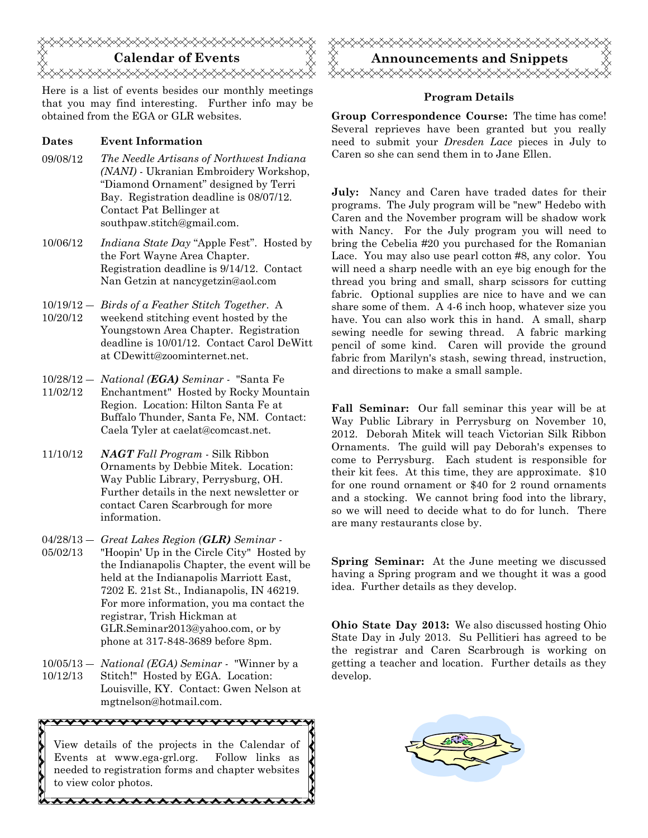

Here is a list of events besides our monthly meetings that you may find interesting. Further info may be obtained from the EGA or GLR websites.

#### **Dates Event Information**

- 09/08/12 *The Needle Artisans of Northwest Indiana (NANI)* - Ukranian Embroidery Workshop, "Diamond Ornament" designed by Terri Bay. Registration deadline is 08/07/12. Contact Pat Bellinger at southpaw.stitch@gmail.com.
- 10/06/12 *Indiana State Day* "Apple Fest". Hosted by the Fort Wayne Area Chapter. Registration deadline is 9/14/12. Contact Nan Getzin at nancygetzin@aol.com
- 10/19/12 ― *Birds of a Feather Stitch Together*. A 10/20/12 weekend stitching event hosted by the Youngstown Area Chapter. Registration deadline is 10/01/12. Contact Carol DeWitt at CDewitt@zoominternet.net.
- 10/28/12 ― *National (EGA) Seminar* "Santa Fe
- 11/02/12 Enchantment" Hosted by Rocky Mountain Region. Location: Hilton Santa Fe at Buffalo Thunder, Santa Fe, NM. Contact: Caela Tyler at caelat@comcast.net.
- 11/10/12 *NAGT Fall Program* Silk Ribbon Ornaments by Debbie Mitek. Location: Way Public Library, Perrysburg, OH. Further details in the next newsletter or contact Caren Scarbrough for more information.

04/28/13 ― *Great Lakes Region (GLR) Seminar -* 

- 05/02/13 "Hoopin' Up in the Circle City" Hosted by the Indianapolis Chapter, the event will be held at the Indianapolis Marriott East, 7202 E. 21st St., Indianapolis, IN 46219. For more information, you ma contact the registrar, Trish Hickman at GLR.Seminar2013@yahoo.com, or by phone at 317-848-3689 before 8pm.
- 10/05/13 ― *National (EGA) Seminar* "Winner by a 10/12/13 Stitch!" Hosted by EGA. Location: Louisville, KY. Contact: Gwen Nelson at mgtnelson@hotmail.com.

View details of the projects in the Calendar of Events at www.ega-grl.org. Follow links as needed to registration forms and chapter websites to view color photos.

8888888888888888888

くくくく

<del>\_\_\_\_\_\_\_\_\_\_\_\_\_\_\_\_\_\_\_\_\_\_\_</del>



#### **Program Details**

**Group Correspondence Course:** The time has come! Several reprieves have been granted but you really need to submit your *Dresden Lace* pieces in July to Caren so she can send them in to Jane Ellen.

**July:** Nancy and Caren have traded dates for their programs. The July program will be "new" Hedebo with Caren and the November program will be shadow work with Nancy. For the July program you will need to bring the Cebelia #20 you purchased for the Romanian Lace. You may also use pearl cotton #8, any color. You will need a sharp needle with an eye big enough for the thread you bring and small, sharp scissors for cutting fabric. Optional supplies are nice to have and we can share some of them. A 4-6 inch hoop, whatever size you have. You can also work this in hand. A small, sharp sewing needle for sewing thread. A fabric marking pencil of some kind. Caren will provide the ground fabric from Marilyn's stash, sewing thread, instruction, and directions to make a small sample.

**Fall Seminar:** Our fall seminar this year will be at Way Public Library in Perrysburg on November 10, 2012. Deborah Mitek will teach Victorian Silk Ribbon Ornaments. The guild will pay Deborah's expenses to come to Perrysburg. Each student is responsible for their kit fees. At this time, they are approximate. \$10 for one round ornament or \$40 for 2 round ornaments and a stocking. We cannot bring food into the library, so we will need to decide what to do for lunch. There are many restaurants close by.

**Spring Seminar:** At the June meeting we discussed having a Spring program and we thought it was a good idea. Further details as they develop.

**Ohio State Day 2013:** We also discussed hosting Ohio State Day in July 2013. Su Pellitieri has agreed to be the registrar and Caren Scarbrough is working on getting a teacher and location. Further details as they develop.

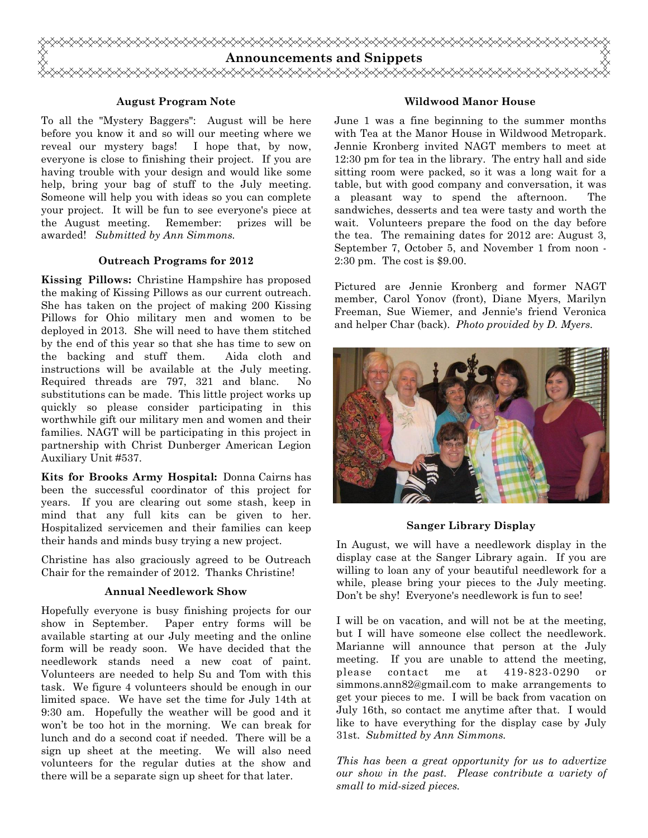

#### **August Program Note**

To all the "Mystery Baggers": August will be here before you know it and so will our meeting where we reveal our mystery bags! I hope that, by now, everyone is close to finishing their project. If you are having trouble with your design and would like some help, bring your bag of stuff to the July meeting. Someone will help you with ideas so you can complete your project. It will be fun to see everyone's piece at the August meeting. Remember: prizes will be awarded! *Submitted by Ann Simmons.* 

#### **Outreach Programs for 2012**

**Kissing Pillows:** Christine Hampshire has proposed the making of Kissing Pillows as our current outreach. She has taken on the project of making 200 Kissing Pillows for Ohio military men and women to be deployed in 2013. She will need to have them stitched by the end of this year so that she has time to sew on the backing and stuff them. Aida cloth and instructions will be available at the July meeting. Required threads are 797, 321 and blanc. No substitutions can be made. This little project works up quickly so please consider participating in this worthwhile gift our military men and women and their families. NAGT will be participating in this project in partnership with Christ Dunberger American Legion Auxiliary Unit #537.

**Kits for Brooks Army Hospital:** Donna Cairns has been the successful coordinator of this project for years. If you are clearing out some stash, keep in mind that any full kits can be given to her. Hospitalized servicemen and their families can keep their hands and minds busy trying a new project.

Christine has also graciously agreed to be Outreach Chair for the remainder of 2012. Thanks Christine!

#### **Annual Needlework Show**

Hopefully everyone is busy finishing projects for our show in September. Paper entry forms will be available starting at our July meeting and the online form will be ready soon. We have decided that the needlework stands need a new coat of paint. Volunteers are needed to help Su and Tom with this task. We figure 4 volunteers should be enough in our limited space. We have set the time for July 14th at 9:30 am. Hopefully the weather will be good and it won't be too hot in the morning. We can break for lunch and do a second coat if needed. There will be a sign up sheet at the meeting. We will also need volunteers for the regular duties at the show and there will be a separate sign up sheet for that later.

#### **Wildwood Manor House**

June 1 was a fine beginning to the summer months with Tea at the Manor House in Wildwood Metropark. Jennie Kronberg invited NAGT members to meet at 12:30 pm for tea in the library. The entry hall and side sitting room were packed, so it was a long wait for a table, but with good company and conversation, it was a pleasant way to spend the afternoon. The sandwiches, desserts and tea were tasty and worth the wait. Volunteers prepare the food on the day before the tea. The remaining dates for 2012 are: August 3, September 7, October 5, and November 1 from noon - 2:30 pm. The cost is \$9.00.

Pictured are Jennie Kronberg and former NAGT member, Carol Yonov (front), Diane Myers, Marilyn Freeman, Sue Wiemer, and Jennie's friend Veronica and helper Char (back). *Photo provided by D. Myers.*



#### **Sanger Library Display**

In August, we will have a needlework display in the display case at the Sanger Library again. If you are willing to loan any of your beautiful needlework for a while, please bring your pieces to the July meeting. Don't be shy! Everyone's needlework is fun to see!

I will be on vacation, and will not be at the meeting, but I will have someone else collect the needlework. Marianne will announce that person at the July meeting. If you are unable to attend the meeting, please contact me at 419-823-0290 or simmons.ann82@gmail.com to make arrangements to get your pieces to me. I will be back from vacation on July 16th, so contact me anytime after that. I would like to have everything for the display case by July 31st. *Submitted by Ann Simmons.* 

*This has been a great opportunity for us to advertize our show in the past. Please contribute a variety of small to mid-sized pieces.*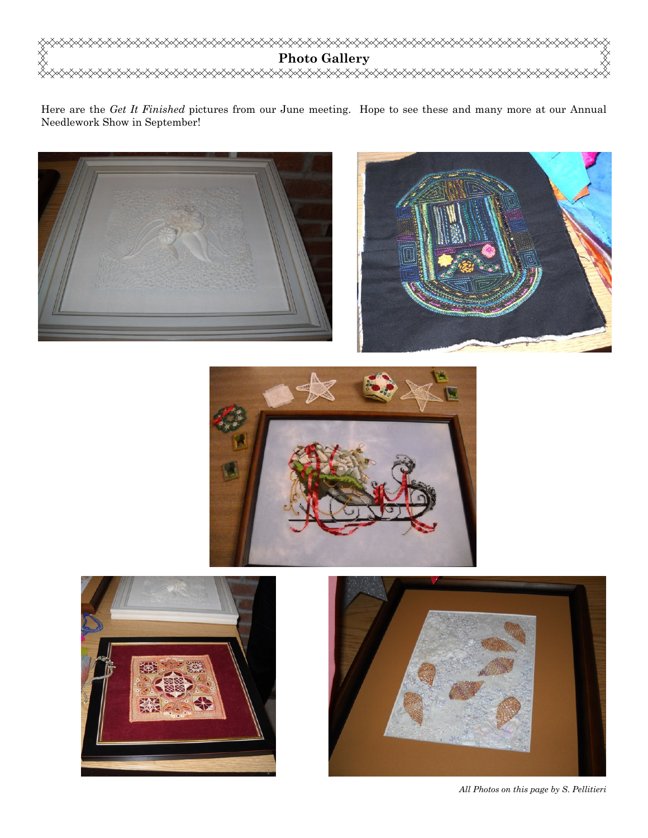

Here are the *Get It Finished* pictures from our June meeting. Hope to see these and many more at our Annual Needlework Show in September!











*All Photos on this page by S. Pellitieri*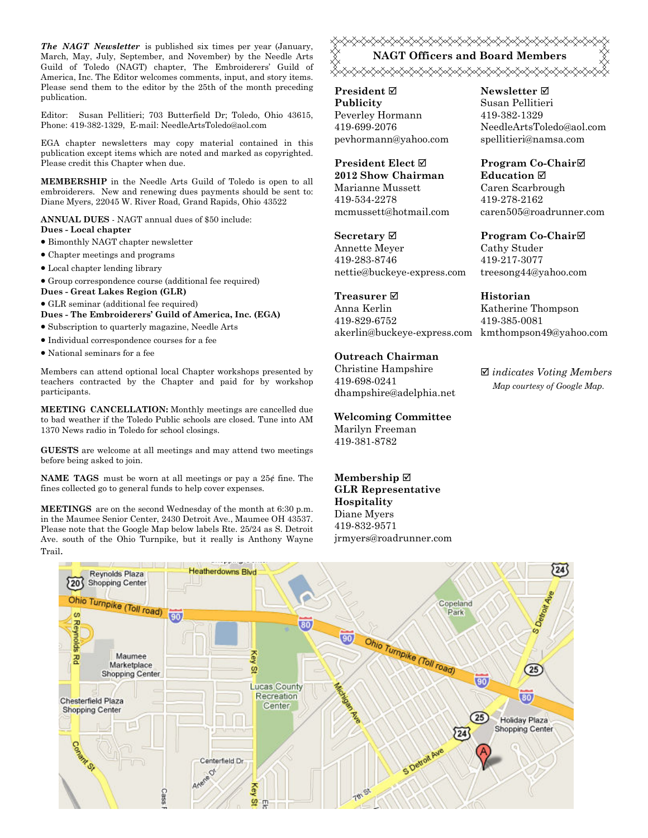*The NAGT Newsletter* is published six times per year (January, March, May, July, September, and November) by the Needle Arts Guild of Toledo (NAGT) chapter, The Embroiderers' Guild of America, Inc. The Editor welcomes comments, input, and story items. Please send them to the editor by the 25th of the month preceding publication.

Editor: Susan Pellitieri; 703 Butterfield Dr; Toledo, Ohio 43615, Phone: 419-382-1329, E-mail: NeedleArtsToledo@aol.com

EGA chapter newsletters may copy material contained in this publication except items which are noted and marked as copyrighted. Please credit this Chapter when due.

**MEMBERSHIP** in the Needle Arts Guild of Toledo is open to all embroiderers. New and renewing dues payments should be sent to: Diane Myers, 22045 W. River Road, Grand Rapids, Ohio 43522

**ANNUAL DUES** - NAGT annual dues of \$50 include: **Dues - Local chapter** 

- Bimonthly NAGT chapter newsletter
- Chapter meetings and programs
- Local chapter lending library
- Group correspondence course (additional fee required)
- **Dues Great Lakes Region (GLR)**
- GLR seminar (additional fee required)

**Dues - The Embroiderers' Guild of America, Inc. (EGA)** 

- Subscription to quarterly magazine, Needle Arts
- Individual correspondence courses for a fee
- National seminars for a fee

Members can attend optional local Chapter workshops presented by teachers contracted by the Chapter and paid for by workshop participants.

**MEETING CANCELLATION:** Monthly meetings are cancelled due to bad weather if the Toledo Public schools are closed. Tune into AM 1370 News radio in Toledo for school closings.

**GUESTS** are welcome at all meetings and may attend two meetings before being asked to join.

**NAME TAGS** must be worn at all meetings or pay a 25¢ fine. The fines collected go to general funds to help cover expenses.

**MEETINGS** are on the second Wednesday of the month at 6:30 p.m. in the Maumee Senior Center, 2430 Detroit Ave., Maumee OH 43537. Please note that the Google Map below labels Rte. 25/24 as S. Detroit Ave. south of the Ohio Turnpike, but it really is Anthony Wayne Trail.

<del></del> **NAGT Officers and Board Members**  <sub></sub><sub></sub>

**President Publicity**  Peverley Hormann 419-699-2076 pevhormann@yahoo.com

**President Elect 2012 Show Chairman**  Marianne Mussett 419-534-2278 mcmussett@hotmail.com

**Secretary** Annette Meyer 419-283-8746 nettie@buckeye-express.com

## **Treasurer**

Anna Kerlin 419-829-6752 akerlin@buckeye-express.com kmthompson49@yahoo.com

#### **Outreach Chairman**

Christine Hampshire 419-698-0241 dhampshire@adelphia.net

#### **Welcoming Committee**

Marilyn Freeman 419-381-8782

**Membership GLR Representative Hospitality**  Diane Myers 419-832-9571 jrmyers@roadrunner.com

#### **Newsletter**  Susan Pellitieri 419-382-1329 NeedleArtsToledo@aol.com

spellitieri@namsa.com **Program Co-Chair Education**  Caren Scarbrough 419-278-2162 caren505@roadrunner.com

**Program Co-Chair** Cathy Studer 419-217-3077 treesong44@yahoo.com

**Historian** Katherine Thompson 419-385-0081

 *indicates Voting Members Map courtesy of Google Map.*